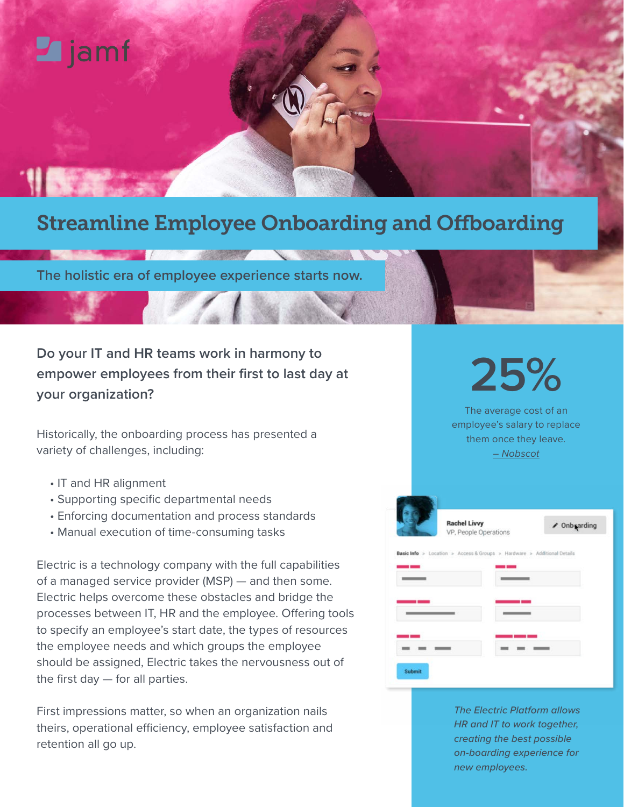## Streamline Employee Onboarding and Offboarding

**The holistic era of employee experience starts now.**

**The Company of the Company of the Company of the Company of the Company of the Company of the Company of the Company of the Company of the Company of the Company of the Company of the Company of the Company of the Company** 

**Do your IT and HR teams work in harmony to empower employees from their first to last day at your organization?**

Historically, the onboarding process has presented a variety of challenges, including:

• IT and HR alignment

 $\Box$ jamf

- Supporting specific departmental needs
- Enforcing documentation and process standards
- Manual execution of time-consuming tasks

Electric is a technology company with the full capabilities of a managed service provider (MSP) — and then some. Electric helps overcome these obstacles and bridge the processes between IT, HR and the employee. Offering tools to specify an employee's start date, the types of resources the employee needs and which groups the employee should be assigned, Electric takes the nervousness out of the first day — for all parties.

First impressions matter, so when an organization nails theirs, operational efficiency, employee satisfaction and retention all go up.

## **25%**

The average cost of an employee's salary to replace them once they leave. *[– Nobscot](https://www.nobscot.com/library/retention.cfm)*



*The Electric Platform allows HR and IT to work together, creating the best possible on-boarding experience for new employees.*